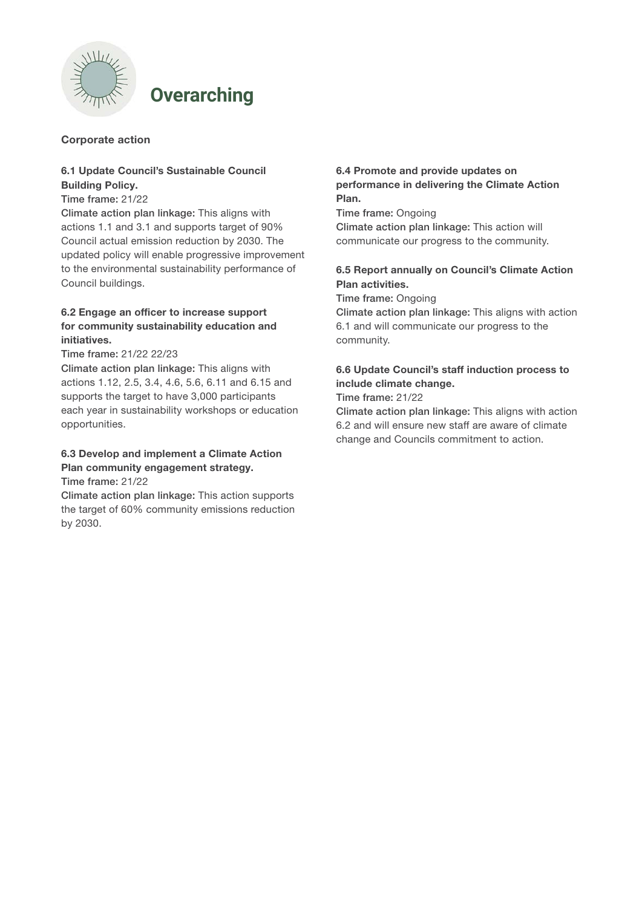

# **Overarching**

# Corporate action

## 6.1 Update Council's Sustainable Council Building Policy.

## Time frame: 21/22

Climate action plan linkage: This aligns with actions 1.1 and 3.1 and supports target of 90% Council actual emission reduction by 2030. The updated policy will enable progressive improvement to the environmental sustainability performance of Council buildings.

# 6.2 Engage an officer to increase support for community sustainability education and initiatives.

Time frame: 21/22 22/23

Climate action plan linkage: This aligns with actions 1.12, 2.5, 3.4, 4.6, 5.6, 6.11 and 6.15 and supports the target to have 3,000 participants each year in sustainability workshops or education opportunities.

# 6.3 Develop and implement a Climate Action Plan community engagement strategy.

Time frame: 21/22

Climate action plan linkage: This action supports the target of 60% community emissions reduction by 2030.

## 6.4 Promote and provide updates on performance in delivering the Climate Action Plan.

Time frame: Ongoing Climate action plan linkage: This action will communicate our progress to the community.

# 6.5 Report annually on Council's Climate Action Plan activities.

Time frame: Ongoing

Climate action plan linkage: This aligns with action 6.1 and will communicate our progress to the community.

# 6.6 Update Council's staff induction process to include climate change.

Time frame: 21/22

Climate action plan linkage: This aligns with action 6.2 and will ensure new staff are aware of climate change and Councils commitment to action.